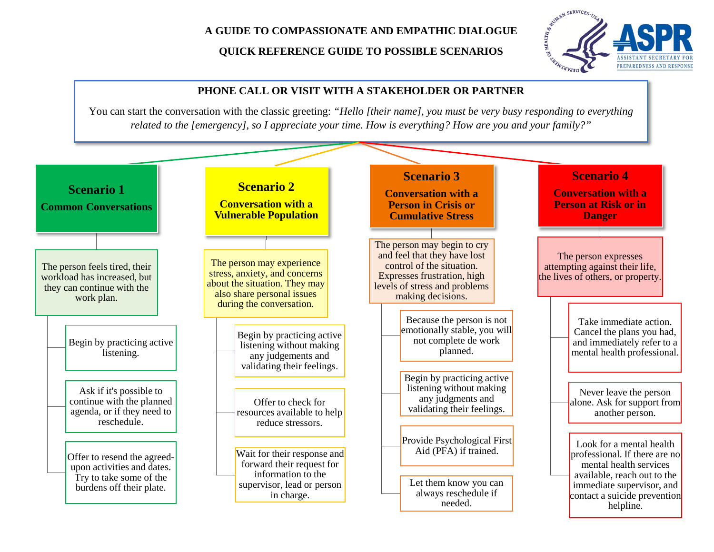## **A GUIDE TO COMPASSIONATE AND EMPATHIC DIALOGUE**

**QUICK REFERENCE GUIDE TO POSSIBLE SCENARIOS**